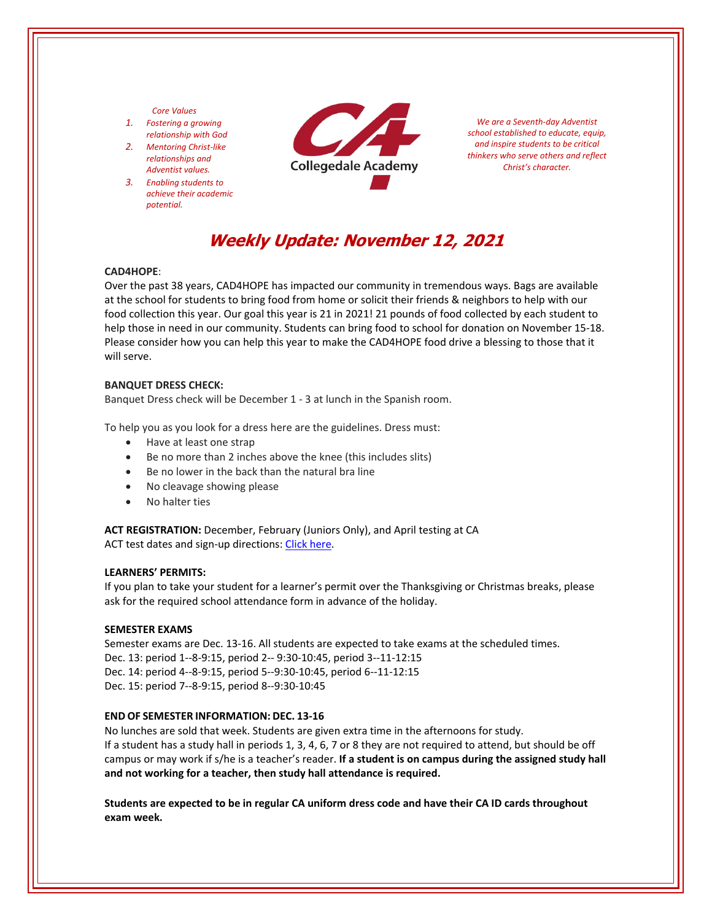#### *Core Values*

- *1. Fostering a growing relationship with God*
- *2. Mentoring Christ‐like relationships and Adventist values.*
- *3. Enabling students to achieve their academic potential.*



*We are a Seventh‐day Adventist school established to educate, equip, and inspire students to be critical thinkers who serve others and reflect Christ's character.*

# **Weekly Update: November 12, 2021**

## **CAD4HOPE**:

Over the past 38 years, CAD4HOPE has impacted our community in tremendous ways. Bags are available at the school for students to bring food from home or solicit their friends & neighbors to help with our food collection this year. Our goal this year is 21 in 2021! 21 pounds of food collected by each student to help those in need in our community. Students can bring food to school for donation on November 15‐18. Please consider how you can help this year to make the CAD4HOPE food drive a blessing to those that it will serve.

#### **BANQUET DRESS CHECK:**

Banquet Dress check will be December 1 ‐ 3 at lunch in the Spanish room.

To help you as you look for a dress here are the guidelines. Dress must:

- Have at least one strap
- Be no more than 2 inches above the knee (this includes slits)
- Be no lower in the back than the natural bra line
- No cleavage showing please
- No halter ties

**ACT REGISTRATION:** December, February (Juniors Only), and April testing at CA ACT test dates and sign-up directions: Click [here.](https://www.act.org/)

#### **LEARNERS' PERMITS:**

If you plan to take your student for a learner's permit over the Thanksgiving or Christmas breaks, please ask for the required school attendance form in advance of the holiday.

### **SEMESTER EXAMS**

Semester exams are Dec. 13‐16. All students are expected to take exams at the scheduled times. Dec. 13: period 1‐‐8‐9:15, period 2‐‐ 9:30‐10:45, period 3‐‐11‐12:15 Dec. 14: period 4‐‐8‐9:15, period 5‐‐9:30‐10:45, period 6‐‐11‐12:15 Dec. 15: period 7‐‐8‐9:15, period 8‐‐9:30‐10:45

# **END OF SEMESTER INFORMATION: DEC. 13‐16**

No lunches are sold that week. Students are given extra time in the afternoons for study. If a student has a study hall in periods 1, 3, 4, 6, 7 or 8 they are not required to attend, but should be off campus or may work if s/he is a teacher's reader. **If a student is on campus during the assigned study hall and not working for a teacher, then study hall attendance is required.**

**Students are expected to be in regular CA uniform dress code and have their CA ID cards throughout exam week.**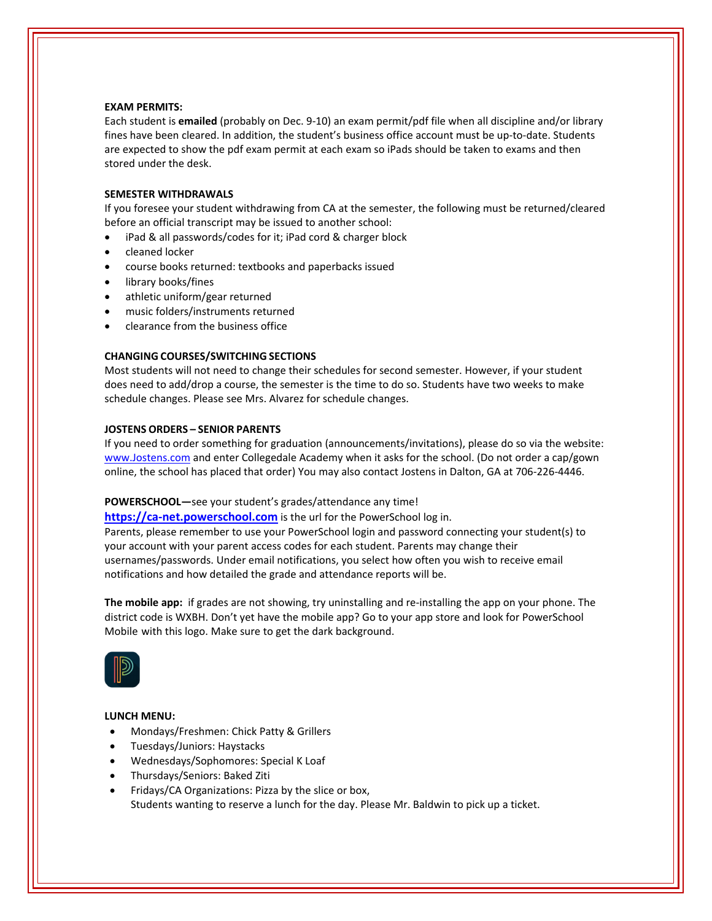#### **EXAM PERMITS:**

Each student is **emailed** (probably on Dec. 9‐10) an exam permit/pdf file when all discipline and/or library fines have been cleared. In addition, the student's business office account must be up-to-date. Students are expected to show the pdf exam permit at each exam so iPads should be taken to exams and then stored under the desk.

### **SEMESTER WITHDRAWALS**

If you foresee your student withdrawing from CA at the semester, the following must be returned/cleared before an official transcript may be issued to another school:

- iPad & all passwords/codes for it; iPad cord & charger block
- cleaned locker
- course books returned: textbooks and paperbacks issued
- library books/fines
- athletic uniform/gear returned
- music folders/instruments returned
- clearance from the business office

#### **CHANGING COURSES/SWITCHING SECTIONS**

Most students will not need to change their schedules for second semester. However, if your student does need to add/drop a course, the semester is the time to do so. Students have two weeks to make schedule changes. Please see Mrs. Alvarez for schedule changes.

# **JOSTENS ORDERS – SENIOR PARENTS**

If you need to order something for graduation (announcements/invitations), please do so via the website: [www.Jostens.com](https://www.jostens.com/) and enter Collegedale Academy when it asks for the school. (Do not order a cap/gown online, the school has placed that order) You may also contact Jostens in Dalton, GA at 706‐226‐4446.

#### **POWERSCHOOL—**see your student's grades/attendance any time!

https://ca-[net.powerschool.com](https://ca-net.powerschool.com/public/) is the url for the PowerSchool log in. Parents, please remember to use your PowerSchool login and password connecting your student(s) to your account with your parent access codes for each student. Parents may change their usernames/passwords. Under email notifications, you select how often you wish to receive email notifications and how detailed the grade and attendance reports will be.

**The mobile app:** if grades are not showing, try uninstalling and re-installing the app on your phone. The district code is WXBH. Don't yet have the mobile app? Go to your app store and look for PowerSchool Mobile with this logo. Make sure to get the dark background.



## **LUNCH MENU:**

- Mondays/Freshmen: Chick Patty & Grillers
- Tuesdays/Juniors: Haystacks
- Wednesdays/Sophomores: Special K Loaf
- Thursdays/Seniors: Baked Ziti
- Fridays/CA Organizations: Pizza by the slice or box, Students wanting to reserve a lunch for the day. Please Mr. Baldwin to pick up a ticket.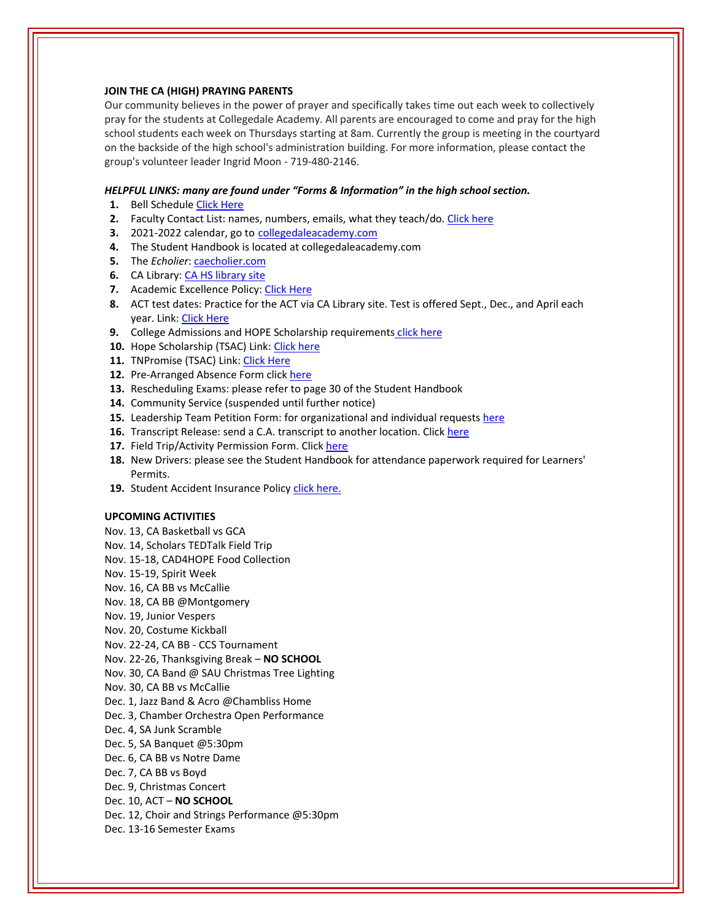### **JOIN THE CA (HIGH) PRAYING PARENTS**

Our community believes in the power of prayer and specifically takes time out each week to collectively pray for the students at Collegedale Academy. All parents are encouraged to come and pray for the high school students each week on Thursdays starting at 8am. Currently the group is meeting in the courtyard on the backside of the high school's administration building. For more information, please contact the group's volunteer leader Ingrid Moon ‐ 719‐480‐2146.

### *HELPFUL LINKS: many are found under "Forms & Information" in the high school section.*

- **1.** Bell Schedule Click [Here](https://www.collegedaleacademy.com/wp-content/uploads/2018/08/Bell-Schedule.pdf)
- **2.** Faculty Contact List: names, numbers, emails, what they teach/do. Click [here](https://www.collegedaleacademy.com/wp-content/uploads/2021/08/faculty-only-2021-2022.pdf)
- **3.** 2021‐2022 calendar, go to [collegedaleacademy.com](https://www.collegedaleacademy.com/calendars/)
- **4.** The Student Handbook is located at collegedaleacademy.com
- **5.** The *Echolier*: [caecholier.com](https://caecholier.com/)
- **6.** CA Library: CA HS [library](https://southernuniongcc.mlasolutions.com/m5/catalog/(S(j2uee4uxwmjay51sxgqkcszw))/default.aspx?installation=CDA) site
- **7.** Academic Excellence Policy: Click [Here](https://www.collegedaleacademy.com/wp-content/uploads/2018/08/Academic-Excellence-Policy.pdf)
- **8.** ACT test dates: Practice for the ACT via CA Library site. Test is offered Sept., Dec., and April each year. Link: Click [Here](https://www.act.org/)
- **9.** College Admissions and HOPE Scholarship requirements click [here](https://www.collegedaleacademy.com/wp-content/uploads/2019/08/TSAC-Scholarship-Info.pdf)
- **10.** Hope Scholarship (TSAC) Link: Click [here](https://www.tn.gov/collegepays/money-for-college/tn-education-lottery-programs/tennessee-hope-scholarship.html)
- **11.** TNPromise (TSAC) Link: Click [Here](https://www.tn.gov/tnpromise.html)
- 12. Pre-Arranged Absence Form click [here](https://www.collegedaleacademy.com/wp-content/uploads/2016/11/Class-Absence-Request-Form-May-2017.pdf)
- **13.** Rescheduling Exams: please refer to page 30 of the Student Handbook
- **14.** Community Service (suspended until further notice)
- **15.** Leadership Team Petition Form: for organizational and individual requests [here](https://www.collegedaleacademy.com/wp-content/uploads/2019/08/Leadership-Petition-SSch.pdf)
- 16. Transcript Release: send a C.A. transcript to another location. Click [here](https://www.collegedaleacademy.com/wp-content/uploads/2016/12/transcriptrelease2014.pdf)
- 17. Field Trip/Activity Permission Form. Click [here](https://www.collegedaleacademy.com/wp-content/uploads/2018/08/Field-Trip-form.pdf)
- **18.** New Drivers: please see the Student Handbook for attendance paperwork required for Learners' Permits.
- 19. Student Accident Insurance Policy click [here.](https://adventistrisk.org/en-us/insurance/nad/k-12-student-accident)

### **UPCOMING ACTIVITIES**

Nov. 13, CA Basketball vs GCA

- Nov. 14, Scholars TEDTalk Field Trip
- Nov. 15‐18, CAD4HOPE Food Collection
- Nov. 15‐19, Spirit Week
- Nov. 16, CA BB vs McCallie
- Nov. 18, CA BB @Montgomery
- Nov. 19, Junior Vespers
- Nov. 20, Costume Kickball
- Nov. 22‐24, CA BB ‐ CCS Tournament
- Nov. 22‐26, Thanksgiving Break **NO SCHOOL**
- Nov. 30, CA Band @ SAU Christmas Tree Lighting
- Nov. 30, CA BB vs McCallie
- Dec. 1, Jazz Band & Acro @Chambliss Home
- Dec. 3, Chamber Orchestra Open Performance
- Dec. 4, SA Junk Scramble
- Dec. 5, SA Banquet @5:30pm
- Dec. 6, CA BB vs Notre Dame
- Dec. 7, CA BB vs Boyd
- Dec. 9, Christmas Concert
- Dec. 10, ACT **NO SCHOOL**
- Dec. 12, Choir and Strings Performance @5:30pm
- Dec. 13‐16 Semester Exams